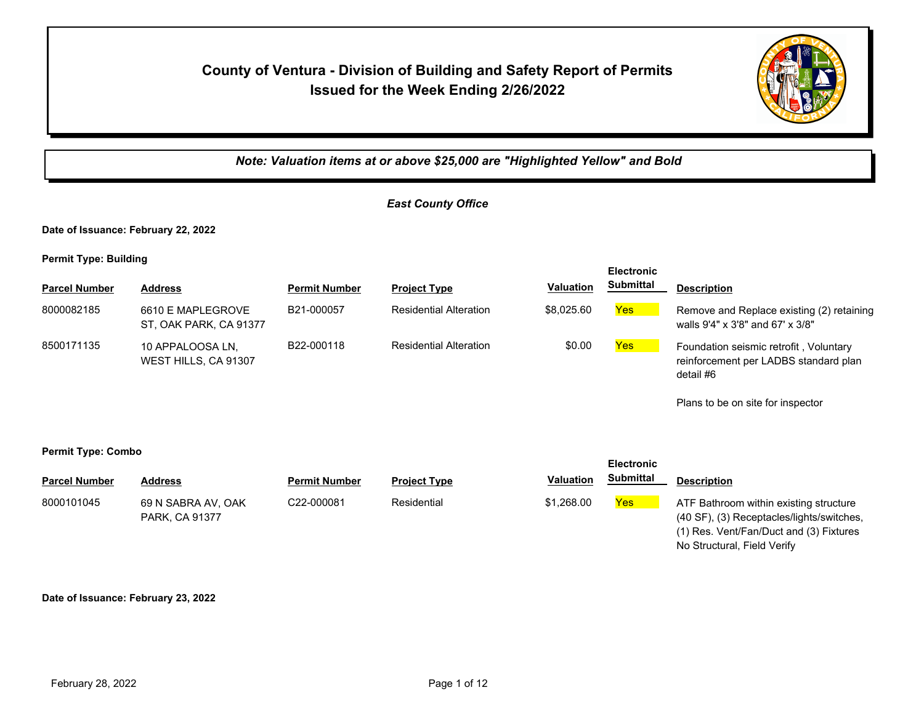## **County of Ventura - Division of Building and Safety Report of Permits Issued for the Week Ending 2/26/2022**



*Note: Valuation items at or above \$25,000 are "Highlighted Yellow" and Bold*

#### *East County Office*

**Date of Issuance: February 22, 2022**

**Permit Type: Building**

| <b>Parcel Number</b> | <b>Address</b>                              | <b>Permit Number</b> | <b>Project Type</b>           | <b>Valuation</b> | <b>Electronic</b><br><b>Submittal</b> | <b>Description</b>                                                                           |
|----------------------|---------------------------------------------|----------------------|-------------------------------|------------------|---------------------------------------|----------------------------------------------------------------------------------------------|
| 8000082185           | 6610 E MAPLEGROVE<br>ST, OAK PARK, CA 91377 | B21-000057           | <b>Residential Alteration</b> | \$8,025.60       | Yes                                   | Remove and Replace existing (2) retaining<br>walls 9'4" x 3'8" and 67' x 3/8"                |
| 8500171135           | 10 APPALOOSA LN.<br>WEST HILLS, CA 91307    | B22-000118           | <b>Residential Alteration</b> | \$0.00           | <b>Yes</b>                            | Foundation seismic retrofit, Voluntary<br>reinforcement per LADBS standard plan<br>detail #6 |

Plans to be on site for inspector

**Electronic** 

#### **Permit Type: Combo Parcel Number Address <b>Permit Number Project Type Valuation Submittal** Description **Electronic Submittal** 8000101045 69 N SABRA AV, OAK C22-000081 Residential \$1,268.00 <mark>Yes</mark> PARK, CA 91377 C22-000081 Residential **Residential** \$1,268.00 Yes ATF Bathroom within existing structure (40 SF), (3) Receptacles/lights/switches, (1) Res. Vent/Fan/Duct and (3) Fixtures

No Structural, Field Verify

**Date of Issuance: February 23, 2022**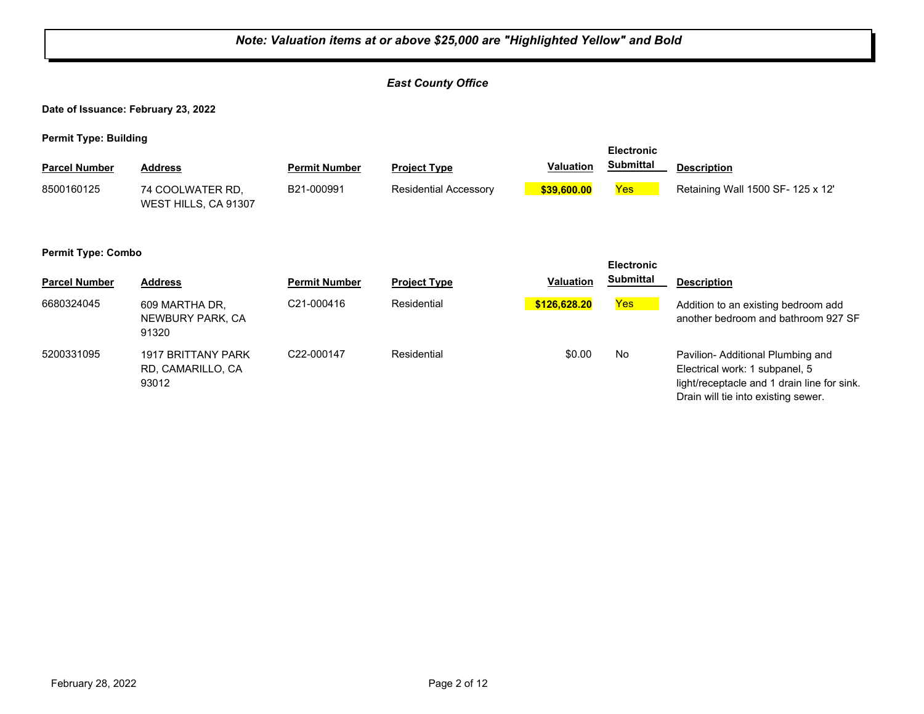#### *Note: Valuation items at or above \$25,000 are "Highlighted Yellow" and Bold East County Office* **Date of Issuance: February 23, 2022 Permit Type: Building Parcel Number Address <b>Permit Number Project Type Valuation Submittal** Description **Electronic Submittal** 74 COOLWATER RD, WEST HILLS, CA 91307 8500160125 B21-000991 Residential Accessory **\$39,600.00** Yes Retaining Wall 1500 SF- 125 x 12' **Permit Type: Combo Parcel Number Address Permit Number Project Type Valuation Submittal Description Electronic Submittal** 6680324045 609 MARTHA DR, C21-000416 Residential <mark> \$126,628.20</mark> <mark>Yes</mark> NEWBURY PARK, CA 91320 C21-000416 Residential **\$126,628.20** Addition to an existing bedroom add another bedroom and bathroom 927 SF 5200331095 1917 BRITTANY PARK C22-000147 Residential \$0.00 No RD, CAMARILLO, CA 93012 C22-000147 Residential **Residential** \$0.00 No Pavilion- Additional Plumbing and Electrical work: 1 subpanel, 5 light/receptacle and 1 drain line for sink. Drain will tie into existing sewer.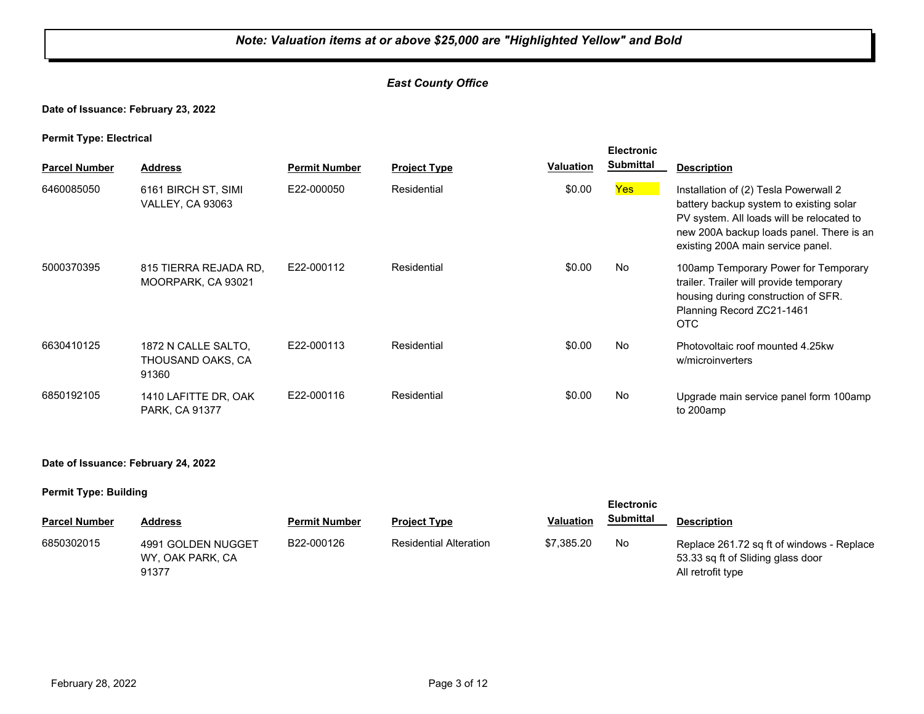#### *East County Office*

#### **Date of Issuance: February 23, 2022**

#### **Permit Type: Electrical**

| . .                  |                                                   |                      |                     |                  | <b>Electronic</b> |                                                                                                                                                                                                                |
|----------------------|---------------------------------------------------|----------------------|---------------------|------------------|-------------------|----------------------------------------------------------------------------------------------------------------------------------------------------------------------------------------------------------------|
| <b>Parcel Number</b> | <b>Address</b>                                    | <b>Permit Number</b> | <b>Project Type</b> | <b>Valuation</b> | <b>Submittal</b>  | <b>Description</b>                                                                                                                                                                                             |
| 6460085050           | 6161 BIRCH ST, SIMI<br><b>VALLEY, CA 93063</b>    | E22-000050           | Residential         | \$0.00           | Yes               | Installation of (2) Tesla Powerwall 2<br>battery backup system to existing solar<br>PV system. All loads will be relocated to<br>new 200A backup loads panel. There is an<br>existing 200A main service panel. |
| 5000370395           | 815 TIERRA REJADA RD.<br>MOORPARK, CA 93021       | E22-000112           | Residential         | \$0.00           | No                | 100amp Temporary Power for Temporary<br>trailer. Trailer will provide temporary<br>housing during construction of SFR.<br>Planning Record ZC21-1461<br>OTC                                                     |
| 6630410125           | 1872 N CALLE SALTO.<br>THOUSAND OAKS, CA<br>91360 | E22-000113           | Residential         | \$0.00           | No                | Photovoltaic roof mounted 4.25kw<br>w/microinverters                                                                                                                                                           |
| 6850192105           | 1410 LAFITTE DR, OAK<br>PARK, CA 91377            | E22-000116           | Residential         | \$0.00           | No                | Upgrade main service panel form 100amp<br>to 200amp                                                                                                                                                            |

#### **Date of Issuance: February 24, 2022**

#### **Permit Type: Building**

| - -                  |                                                 |                      |                               |                  | <b>Electronic</b> |                                                                                                     |
|----------------------|-------------------------------------------------|----------------------|-------------------------------|------------------|-------------------|-----------------------------------------------------------------------------------------------------|
| <b>Parcel Number</b> | <b>Address</b>                                  | <b>Permit Number</b> | <b>Project Type</b>           | <b>Valuation</b> | <b>Submittal</b>  | <b>Description</b>                                                                                  |
| 6850302015           | 4991 GOLDEN NUGGET<br>WY, OAK PARK, CA<br>91377 | B22-000126           | <b>Residential Alteration</b> | \$7.385.20       | No.               | Replace 261.72 sq ft of windows - Replace<br>53.33 sq ft of Sliding glass door<br>All retrofit type |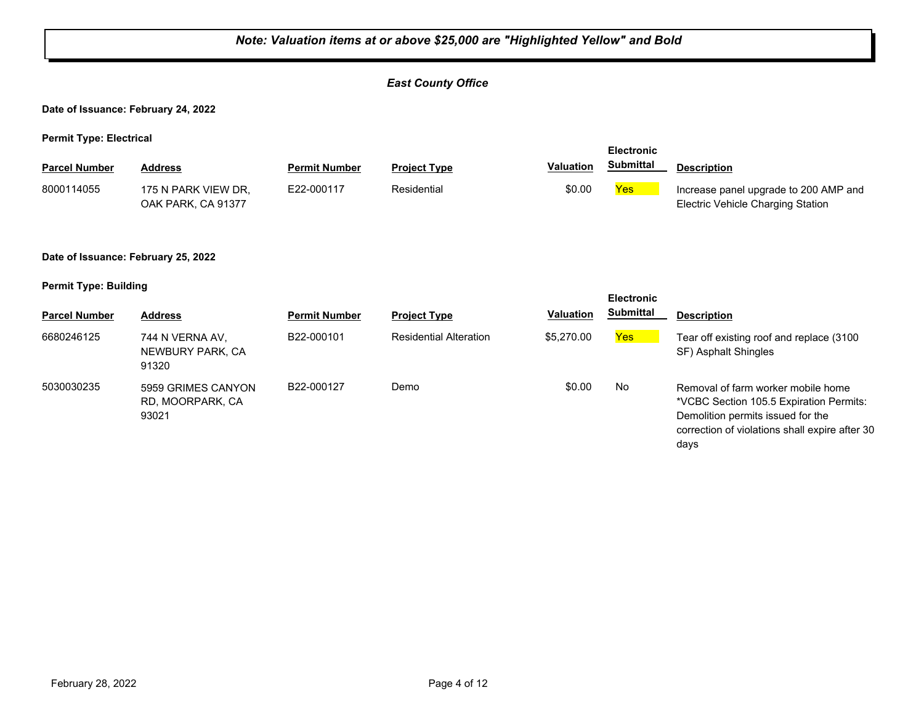### *Note: Valuation items at or above \$25,000 are "Highlighted Yellow" and Bold East County Office* **Date of Issuance: February 24, 2022 Permit Type: Electrical Parcel Number Address <b>Permit Number Project Type Valuation Submittal** Description **Electronic Submittal** 8000114055 175 N PARK VIEW DR, E22-000117 Residential \$0.00 <mark>Yes</mark> OAK PARK, CA 91377 E22-000117 Residential **Residential** \$0.00 **Yes** Increase panel upgrade to 200 AMP and Electric Vehicle Charging Station **Date of Issuance: February 25, 2022 Permit Type: Building Parcel Number Address <b>Permit Number Project Type Valuation Submittal** Description **Electronic Submittal** 6680246125 744 N VERNA AV, B22-000101 Residential Alteration \$5,270.00 <mark>Yes</mark> NEWBURY PARK, CA 91320 B22-000101 Residential Alteration \$5,270.00 Yes Tear off existing roof and replace (3100 SF) Asphalt Shingles 5030030235 5959 GRIMES CANYON B22-000127 Demo \$0.00 No RD, MOORPARK, CA 93021 B22-000127 Demo **beme** \$0.00 No Removal of farm worker mobile home \*VCBC Section 105.5 Expiration Permits: Demolition permits issued for the correction of violations shall expire after 30 days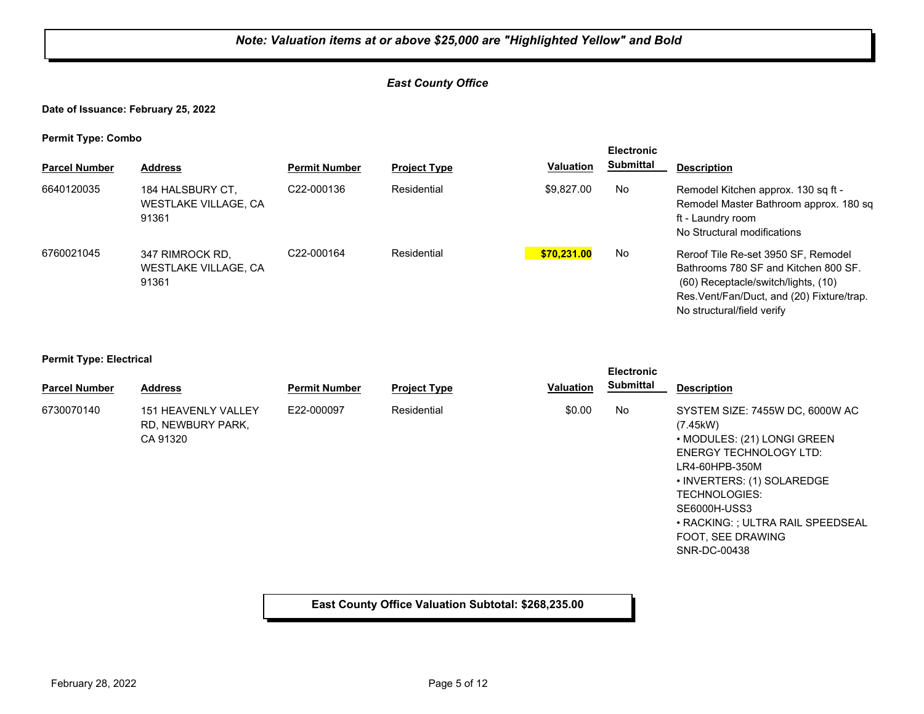#### *East County Office*

**Date of Issuance: February 25, 2022**

**Permit Type: Combo**

| . .                  |                                                         |                         |                     |                  | <b>Electronic</b> |                                                                                                                                                                                                |
|----------------------|---------------------------------------------------------|-------------------------|---------------------|------------------|-------------------|------------------------------------------------------------------------------------------------------------------------------------------------------------------------------------------------|
| <b>Parcel Number</b> | <b>Address</b>                                          | <b>Permit Number</b>    | <b>Project Type</b> | <b>Valuation</b> | Submittal         | <b>Description</b>                                                                                                                                                                             |
| 6640120035           | 184 HALSBURY CT,<br>WESTLAKE VILLAGE, CA<br>91361       | C <sub>22</sub> -000136 | Residential         | \$9.827.00       | No                | Remodel Kitchen approx. 130 sq ft -<br>Remodel Master Bathroom approx. 180 sq.<br>ft - Laundry room<br>No Structural modifications                                                             |
| 6760021045           | 347 RIMROCK RD.<br><b>WESTLAKE VILLAGE, CA</b><br>91361 | C <sub>22</sub> -000164 | Residential         | \$70.231.00      | No                | Reroof Tile Re-set 3950 SF, Remodel<br>Bathrooms 780 SF and Kitchen 800 SF.<br>(60) Receptacle/switch/lights, (10)<br>Res. Vent/Fan/Duct, and (20) Fixture/trap.<br>No structural/field verify |

#### **Permit Type: Electrical**

| - -<br><b>Parcel Number</b> | <b>Address</b>                                              | <b>Permit Number</b> | <b>Project Type</b> | <b>Valuation</b> | <b>Electronic</b><br><b>Submittal</b> | <b>Description</b>                                                                                                                                                                                                                                                            |
|-----------------------------|-------------------------------------------------------------|----------------------|---------------------|------------------|---------------------------------------|-------------------------------------------------------------------------------------------------------------------------------------------------------------------------------------------------------------------------------------------------------------------------------|
| 6730070140                  | <b>151 HEAVENLY VALLEY</b><br>RD, NEWBURY PARK,<br>CA 91320 | E22-000097           | Residential         | \$0.00           | No                                    | SYSTEM SIZE: 7455W DC, 6000W AC<br>(7.45kW)<br>• MODULES: (21) LONGI GREEN<br><b>ENERGY TECHNOLOGY LTD:</b><br>LR4-60HPB-350M<br>• INVERTERS: (1) SOLAREDGE<br><b>TECHNOLOGIES:</b><br>SE6000H-USS3<br>• RACKING: ; ULTRA RAIL SPEEDSEAL<br>FOOT, SEE DRAWING<br>SNR-DC-00438 |

### **East County Office Valuation Subtotal: \$268,235.00**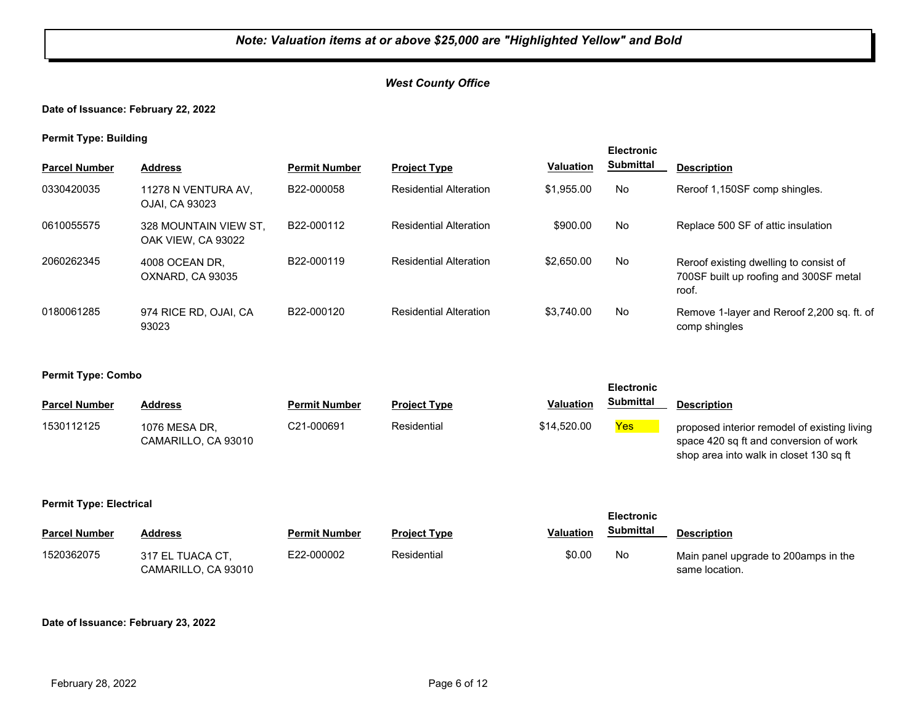**Date of Issuance: February 22, 2022**

**Permit Type: Building**

| . .                  |                                             |                      |                               |                  | <b>Electronic</b> |                                                                                           |
|----------------------|---------------------------------------------|----------------------|-------------------------------|------------------|-------------------|-------------------------------------------------------------------------------------------|
| <b>Parcel Number</b> | <b>Address</b>                              | <b>Permit Number</b> | <b>Project Type</b>           | <b>Valuation</b> | <b>Submittal</b>  | <b>Description</b>                                                                        |
| 0330420035           | 11278 N VENTURA AV.<br>OJAI. CA 93023       | B22-000058           | <b>Residential Alteration</b> | \$1.955.00       | No                | Reroof 1,150SF comp shingles.                                                             |
| 0610055575           | 328 MOUNTAIN VIEW ST.<br>OAK VIEW. CA 93022 | B22-000112           | <b>Residential Alteration</b> | \$900.00         | No                | Replace 500 SF of attic insulation                                                        |
| 2060262345           | 4008 OCEAN DR.<br>OXNARD, CA 93035          | B22-000119           | <b>Residential Alteration</b> | \$2,650.00       | No                | Reroof existing dwelling to consist of<br>700SF built up roofing and 300SF metal<br>roof. |
| 0180061285           | 974 RICE RD, OJAI, CA<br>93023              | B22-000120           | <b>Residential Alteration</b> | \$3.740.00       | No                | Remove 1-layer and Reroof 2,200 sq. ft. of<br>comp shingles                               |

#### **Permit Type: Combo**

|                      |                                      |                      |                     |             | ᆸច៴៶៲៴៲៲៲៴       |                                                                                                                                   |
|----------------------|--------------------------------------|----------------------|---------------------|-------------|------------------|-----------------------------------------------------------------------------------------------------------------------------------|
| <b>Parcel Number</b> | <b>Address</b>                       | <b>Permit Number</b> | <b>Project Type</b> | Valuation   | <b>Submittal</b> | <b>Description</b>                                                                                                                |
| 1530112125           | 1076 MESA DR.<br>CAMARILLO, CA 93010 | C21-000691           | Residential         | \$14.520.00 | Yes              | proposed interior remodel of existing living<br>space 420 sq ft and conversion of work<br>shop area into walk in closet 130 sq ft |

**Electronic** 

#### **Permit Type: Electrical**

|                      |                                         |                      |                     |                  | <b>Electronic</b> |                                                        |
|----------------------|-----------------------------------------|----------------------|---------------------|------------------|-------------------|--------------------------------------------------------|
| <b>Parcel Number</b> | Address                                 | <b>Permit Number</b> | <b>Project Type</b> | <b>Valuation</b> | <b>Submittal</b>  | <b>Description</b>                                     |
| 1520362075           | 317 EL TUACA CT.<br>CAMARILLO, CA 93010 | E22-000002           | Residential         | \$0.00           | No                | Main panel upgrade to 200amps in the<br>same location. |

#### **Date of Issuance: February 23, 2022**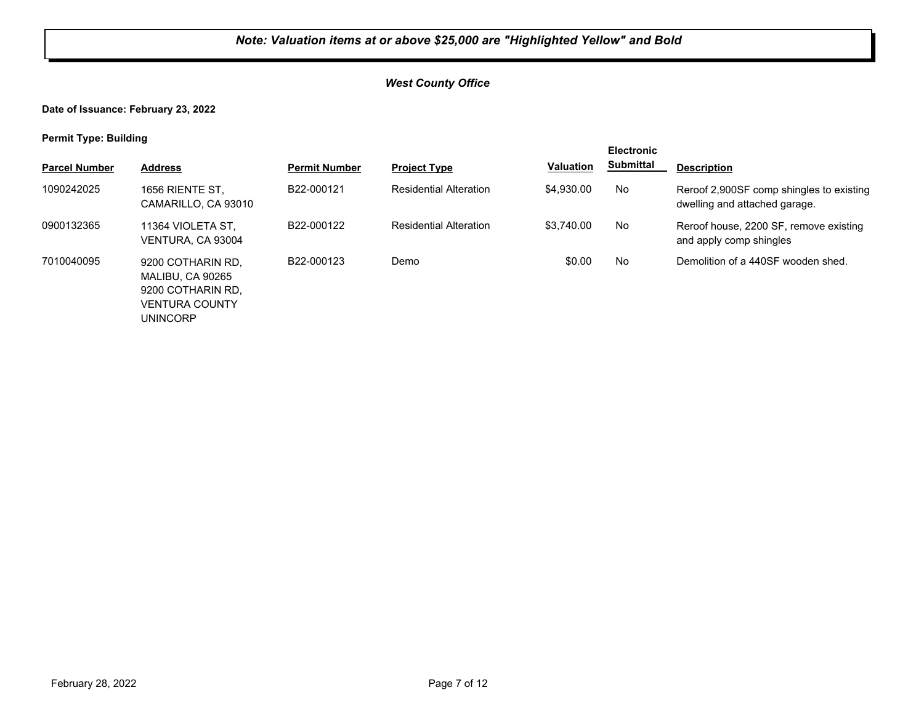**Date of Issuance: February 23, 2022**

VENTURA COUNTY

UNINCORP

**Permit Type: Building**

| . .                  |                                                            |                      |                               |                  | <b>Electronic</b> |                                                                           |
|----------------------|------------------------------------------------------------|----------------------|-------------------------------|------------------|-------------------|---------------------------------------------------------------------------|
| <b>Parcel Number</b> | <b>Address</b>                                             | <b>Permit Number</b> | <b>Project Type</b>           | <b>Valuation</b> | <b>Submittal</b>  | <b>Description</b>                                                        |
| 1090242025           | 1656 RIENTE ST.<br>CAMARILLO, CA 93010                     | B22-000121           | <b>Residential Alteration</b> | \$4,930.00       | No                | Reroof 2,900SF comp shingles to existing<br>dwelling and attached garage. |
| 0900132365           | 11364 VIOLETA ST.<br>VENTURA, CA 93004                     | B22-000122           | <b>Residential Alteration</b> | \$3.740.00       | No                | Reroof house, 2200 SF, remove existing<br>and apply comp shingles         |
| 7010040095           | 9200 COTHARIN RD.<br>MALIBU, CA 90265<br>9200 COTHARIN RD. | B22-000123           | Demo                          | \$0.00           | No                | Demolition of a 440SF wooden shed.                                        |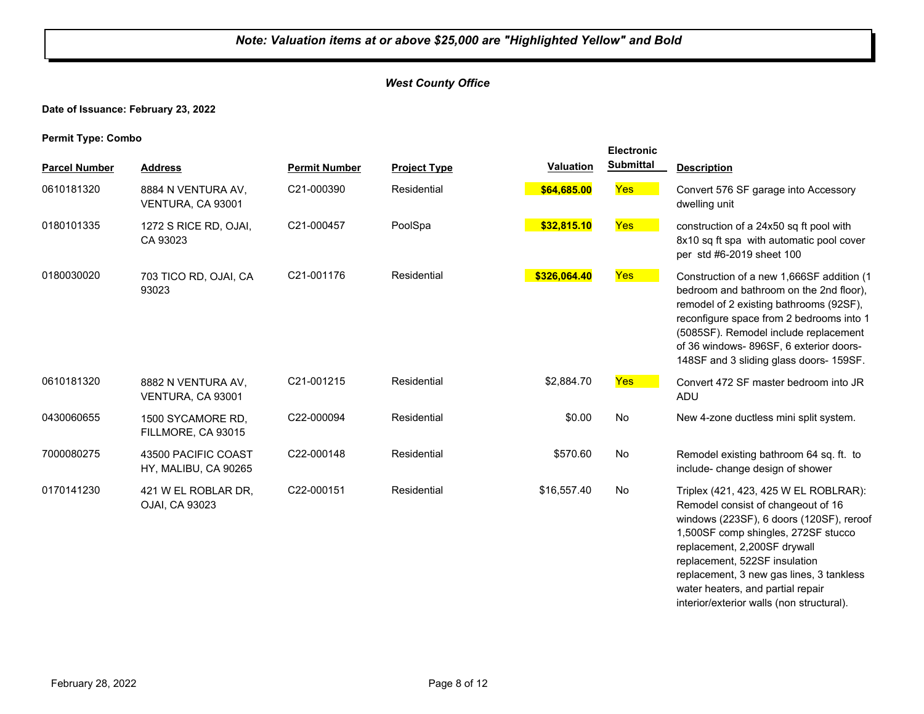#### *West County Office*

#### **Date of Issuance: February 23, 2022**

**Permit Type: Combo**

| <b>Parcel Number</b> | <b>Address</b>                              | <b>Permit Number</b> | <b>Project Type</b> | <b>Valuation</b> | <b>Electronic</b><br><b>Submittal</b> | <b>Description</b>                                                                                                                                                                                                                                                                                                                                            |
|----------------------|---------------------------------------------|----------------------|---------------------|------------------|---------------------------------------|---------------------------------------------------------------------------------------------------------------------------------------------------------------------------------------------------------------------------------------------------------------------------------------------------------------------------------------------------------------|
| 0610181320           | 8884 N VENTURA AV,<br>VENTURA, CA 93001     | C21-000390           | Residential         | \$64,685.00      | Yes                                   | Convert 576 SF garage into Accessory<br>dwelling unit                                                                                                                                                                                                                                                                                                         |
| 0180101335           | 1272 S RICE RD, OJAI,<br>CA 93023           | C21-000457           | PoolSpa             | \$32,815.10      | Yes                                   | construction of a 24x50 sq ft pool with<br>8x10 sq ft spa with automatic pool cover<br>per std #6-2019 sheet 100                                                                                                                                                                                                                                              |
| 0180030020           | 703 TICO RD, OJAI, CA<br>93023              | C21-001176           | Residential         | \$326,064.40     | Yes                                   | Construction of a new 1,666SF addition (1<br>bedroom and bathroom on the 2nd floor),<br>remodel of 2 existing bathrooms (92SF),<br>reconfigure space from 2 bedrooms into 1<br>(5085SF). Remodel include replacement<br>of 36 windows-896SF, 6 exterior doors-<br>148SF and 3 sliding glass doors- 159SF.                                                     |
| 0610181320           | 8882 N VENTURA AV.<br>VENTURA, CA 93001     | C21-001215           | Residential         | \$2,884.70       | Yes                                   | Convert 472 SF master bedroom into JR<br><b>ADU</b>                                                                                                                                                                                                                                                                                                           |
| 0430060655           | 1500 SYCAMORE RD,<br>FILLMORE, CA 93015     | C22-000094           | Residential         | \$0.00           | No                                    | New 4-zone ductless mini split system.                                                                                                                                                                                                                                                                                                                        |
| 7000080275           | 43500 PACIFIC COAST<br>HY, MALIBU, CA 90265 | C22-000148           | Residential         | \$570.60         | No                                    | Remodel existing bathroom 64 sq. ft. to<br>include-change design of shower                                                                                                                                                                                                                                                                                    |
| 0170141230           | 421 W EL ROBLAR DR.<br>OJAI, CA 93023       | C22-000151           | Residential         | \$16,557.40      | No                                    | Triplex (421, 423, 425 W EL ROBLRAR):<br>Remodel consist of changeout of 16<br>windows (223SF), 6 doors (120SF), reroof<br>1,500SF comp shingles, 272SF stucco<br>replacement, 2,200SF drywall<br>replacement, 522SF insulation<br>replacement, 3 new gas lines, 3 tankless<br>water heaters, and partial repair<br>interior/exterior walls (non structural). |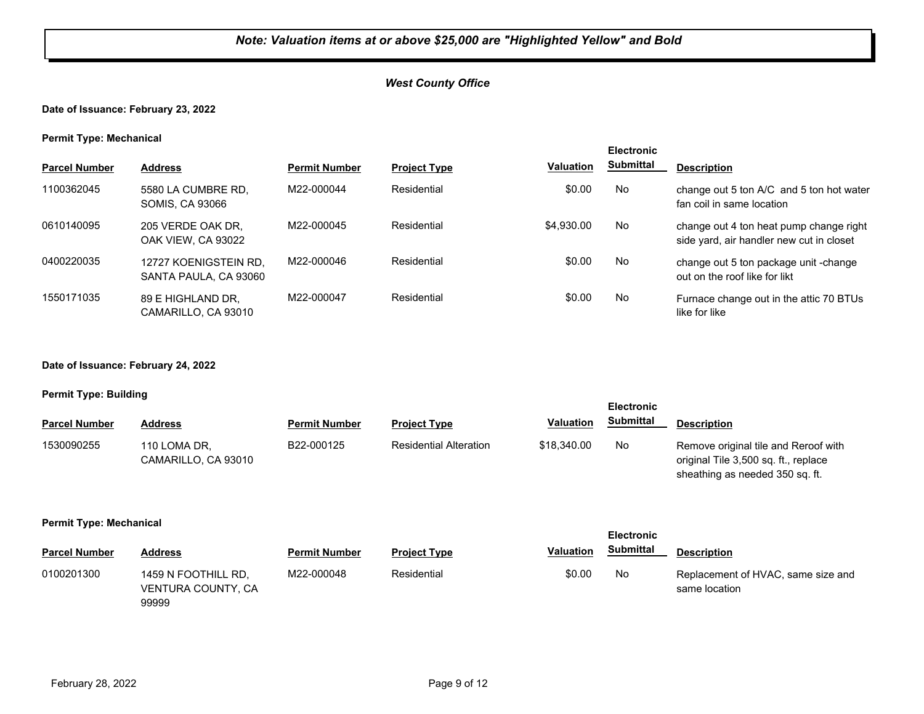#### **Date of Issuance: February 23, 2022**

#### **Permit Type: Mechanical**

| . .                  |                                                |                      |                     |                  | <b>Electronic</b> |                                                                                     |
|----------------------|------------------------------------------------|----------------------|---------------------|------------------|-------------------|-------------------------------------------------------------------------------------|
| <b>Parcel Number</b> | <b>Address</b>                                 | <b>Permit Number</b> | <b>Project Type</b> | <b>Valuation</b> | <b>Submittal</b>  | <b>Description</b>                                                                  |
| 1100362045           | 5580 LA CUMBRE RD.<br><b>SOMIS, CA 93066</b>   | M22-000044           | Residential         | \$0.00           | No                | change out 5 ton A/C and 5 ton hot water<br>fan coil in same location               |
| 0610140095           | 205 VERDE OAK DR,<br>OAK VIEW, CA 93022        | M22-000045           | Residential         | \$4.930.00       | No                | change out 4 ton heat pump change right<br>side yard, air handler new cut in closet |
| 0400220035           | 12727 KOENIGSTEIN RD.<br>SANTA PAULA, CA 93060 | M22-000046           | Residential         | \$0.00           | No                | change out 5 ton package unit -change<br>out on the roof like for likt              |
| 1550171035           | 89 E HIGHLAND DR.<br>CAMARILLO, CA 93010       | M22-000047           | Residential         | \$0.00           | No                | Furnace change out in the attic 70 BTUs<br>like for like                            |

#### **Date of Issuance: February 24, 2022**

#### **Permit Type: Building**

|                      |                                     |                      |                               |                  | <b>Electronic</b> |                                                                                                                 |
|----------------------|-------------------------------------|----------------------|-------------------------------|------------------|-------------------|-----------------------------------------------------------------------------------------------------------------|
| <b>Parcel Number</b> | <b>Address</b>                      | <b>Permit Number</b> | <b>Project Type</b>           | <b>Valuation</b> | <b>Submittal</b>  | <b>Description</b>                                                                                              |
| 1530090255           | 110 LOMA DR,<br>CAMARILLO, CA 93010 | B22-000125           | <b>Residential Alteration</b> | \$18,340.00      | No.               | Remove original tile and Reroof with<br>original Tile 3,500 sq. ft., replace<br>sheathing as needed 350 sq. ft. |

#### **Permit Type: Mechanical**

| . .                  |                                                           |                      |                     |                  | <b>Electronic</b> |                                                     |  |
|----------------------|-----------------------------------------------------------|----------------------|---------------------|------------------|-------------------|-----------------------------------------------------|--|
| <b>Parcel Number</b> | <b>Address</b>                                            | <b>Permit Number</b> | <b>Project Type</b> | <b>Valuation</b> | <b>Submittal</b>  | <b>Description</b>                                  |  |
| 0100201300           | 1459 N FOOTHILL RD.<br><b>VENTURA COUNTY, CA</b><br>99999 | M22-000048           | Residential         | \$0.00           | No                | Replacement of HVAC, same size and<br>same location |  |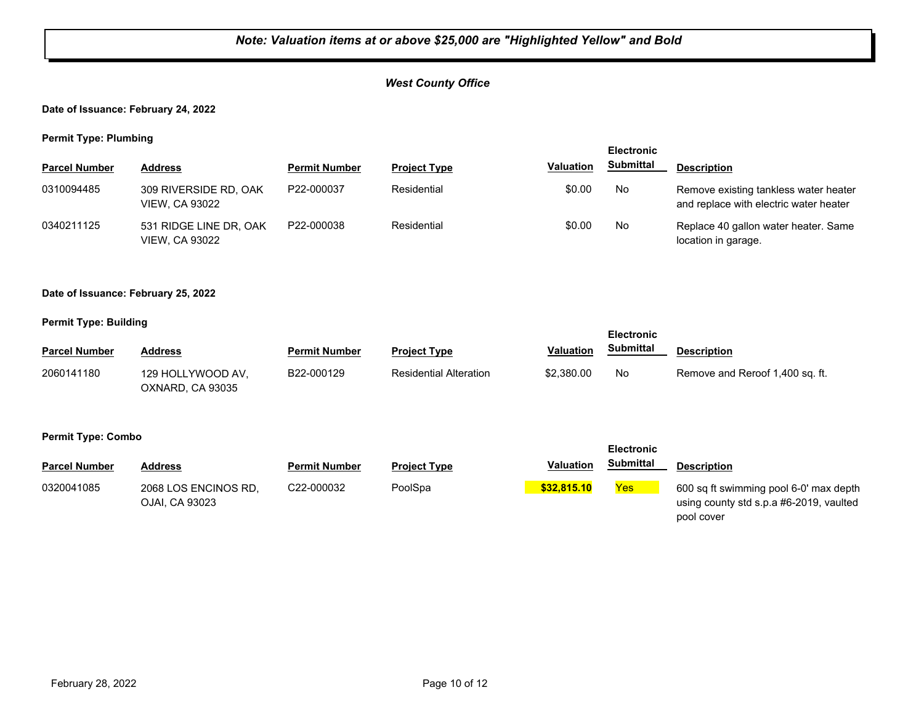#### *West County Office*

#### **Date of Issuance: February 24, 2022**

**Permit Type: Plumbing**

|                      |                                                 |                      |                     |                  | <b>Electronic</b> |                                                                                 |
|----------------------|-------------------------------------------------|----------------------|---------------------|------------------|-------------------|---------------------------------------------------------------------------------|
| <b>Parcel Number</b> | <b>Address</b>                                  | <b>Permit Number</b> | <b>Project Type</b> | <b>Valuation</b> | <b>Submittal</b>  | <b>Description</b>                                                              |
| 0310094485           | 309 RIVERSIDE RD, OAK<br><b>VIEW, CA 93022</b>  | P22-000037           | Residential         | \$0.00           | No                | Remove existing tankless water heater<br>and replace with electric water heater |
| 0340211125           | 531 RIDGE LINE DR, OAK<br><b>VIEW, CA 93022</b> | P22-000038           | Residential         | \$0.00           | No                | Replace 40 gallon water heater. Same<br>location in garage.                     |

#### **Date of Issuance: February 25, 2022**

#### **Permit Type: Building**

|                      |                                       |                      |                               |                  | <b>Electronic</b> |                                 |
|----------------------|---------------------------------------|----------------------|-------------------------------|------------------|-------------------|---------------------------------|
| <b>Parcel Number</b> | <b>Address</b>                        | <b>Permit Number</b> | <b>Project Type</b>           | <b>Valuation</b> | Submittal         | <b>Description</b>              |
| 2060141180           | 129 HOLLYWOOD AV.<br>OXNARD, CA 93035 | B22-000129           | <b>Residential Alteration</b> | \$2,380.00       | No                | Remove and Reroof 1,400 sq. ft. |

#### **Permit Type: Combo**

|                      |                                        |                      |                     |                  | <b>Electronic</b> |                                                                                                 |
|----------------------|----------------------------------------|----------------------|---------------------|------------------|-------------------|-------------------------------------------------------------------------------------------------|
| <b>Parcel Number</b> | <b>Address</b>                         | <b>Permit Number</b> | <b>Project Type</b> | <b>Valuation</b> | Submittal         | <b>Description</b>                                                                              |
| 0320041085           | 2068 LOS ENCINOS RD.<br>OJAI, CA 93023 | C22-000032           | PoolSpa             | \$32,815.10      | Yes               | 600 sq ft swimming pool 6-0' max depth<br>using county std s.p.a #6-2019, vaulted<br>pool cover |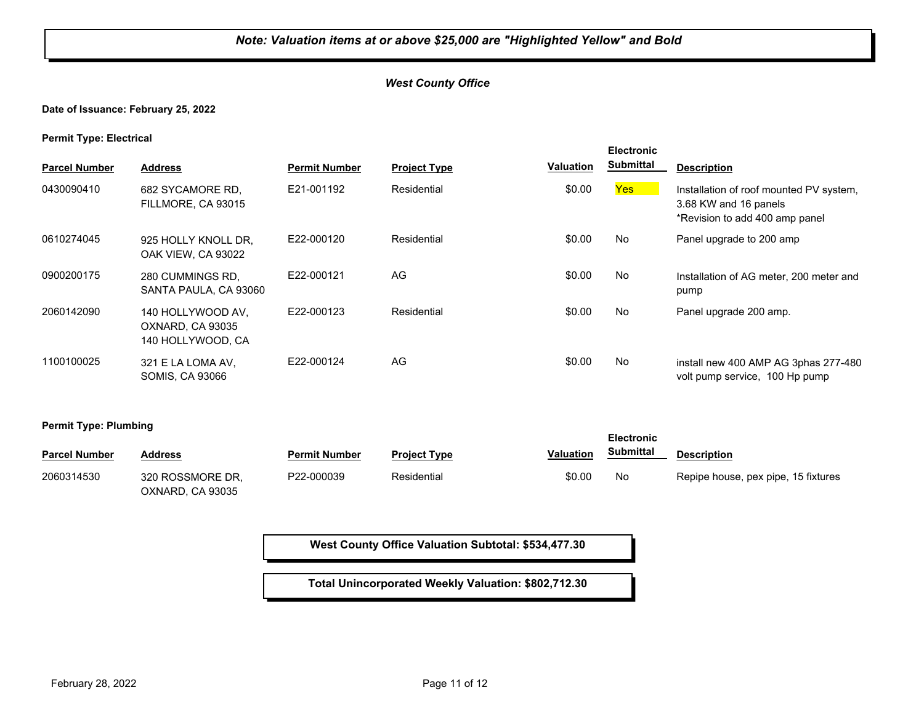#### **Date of Issuance: February 25, 2022**

**Permit Type: Electrical**

| . .<br><b>Parcel Number</b> | <b>Address</b>                                             | <b>Permit Number</b> | <b>Project Type</b> | <b>Valuation</b> | <b>Electronic</b><br><b>Submittal</b> | <b>Description</b>                                                                                 |
|-----------------------------|------------------------------------------------------------|----------------------|---------------------|------------------|---------------------------------------|----------------------------------------------------------------------------------------------------|
| 0430090410                  | 682 SYCAMORE RD.<br>FILLMORE, CA 93015                     | E21-001192           | Residential         | \$0.00           | Yes:                                  | Installation of roof mounted PV system,<br>3.68 KW and 16 panels<br>*Revision to add 400 amp panel |
| 0610274045                  | 925 HOLLY KNOLL DR.<br>OAK VIEW, CA 93022                  | E22-000120           | Residential         | \$0.00           | No                                    | Panel upgrade to 200 amp                                                                           |
| 0900200175                  | 280 CUMMINGS RD.<br>SANTA PAULA, CA 93060                  | E22-000121           | AG                  | \$0.00           | No                                    | Installation of AG meter, 200 meter and<br>pump                                                    |
| 2060142090                  | 140 HOLLYWOOD AV,<br>OXNARD, CA 93035<br>140 HOLLYWOOD, CA | E22-000123           | Residential         | \$0.00           | No                                    | Panel upgrade 200 amp.                                                                             |
| 1100100025                  | 321 E LA LOMA AV.<br><b>SOMIS, CA 93066</b>                | E22-000124           | AG                  | \$0.00           | No                                    | install new 400 AMP AG 3phas 277-480<br>volt pump service, 100 Hp pump                             |

**Permit Type: Plumbing**

| . .                  |                                      |                      |                     |                  | <b>Electronic</b> |                                     |
|----------------------|--------------------------------------|----------------------|---------------------|------------------|-------------------|-------------------------------------|
| <b>Parcel Number</b> | <b>Address</b>                       | <b>Permit Number</b> | <b>Project Type</b> | <b>Valuation</b> | Submittal         | <b>Description</b>                  |
| 2060314530           | 320 ROSSMORE DR.<br>OXNARD, CA 93035 | P22-000039           | Residential         | \$0.00           | No                | Repipe house, pex pipe, 15 fixtures |

**West County Office Valuation Subtotal: \$534,477.30**

**Total Unincorporated Weekly Valuation: \$802,712.30**